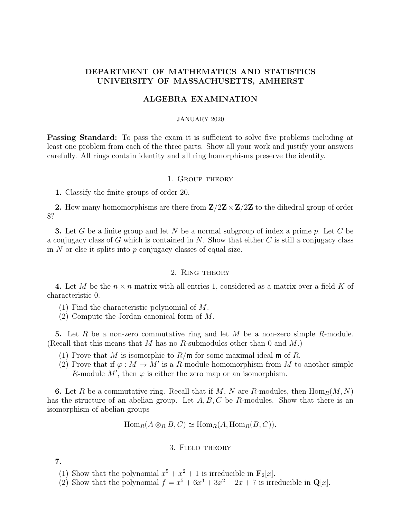# DEPARTMENT OF MATHEMATICS AND STATISTICS UNIVERSITY OF MASSACHUSETTS, AMHERST

## ALGEBRA EXAMINATION

### JANUARY 2020

**Passing Standard:** To pass the exam it is sufficient to solve five problems including at least one problem from each of the three parts. Show all your work and justify your answers carefully. All rings contain identity and all ring homorphisms preserve the identity.

#### 1. Group theory

1. Classify the finite groups of order 20.

2. How many homomorphisms are there from  $\mathbb{Z}/2\mathbb{Z}\times\mathbb{Z}/2\mathbb{Z}$  to the dihedral group of order 8?

**3.** Let G be a finite group and let N be a normal subgroup of index a prime p. Let C be a conjugacy class of G which is contained in  $N$ . Show that either  $C$  is still a conjugacy class in  $N$  or else it splits into  $p$  conjugacy classes of equal size.

#### 2. Ring theory

4. Let M be the  $n \times n$  matrix with all entries 1, considered as a matrix over a field K of characteristic 0.

- (1) Find the characteristic polynomial of M.
- (2) Compute the Jordan canonical form of M.

5. Let R be a non-zero commutative ring and let M be a non-zero simple R-module. (Recall that this means that M has no R-submodules other than 0 and  $M$ .)

- (1) Prove that M is isomorphic to  $R/\mathfrak{m}$  for some maximal ideal  $\mathfrak{m}$  of R.
- (2) Prove that if  $\varphi : M \to M'$  is a R-module homomorphism from M to another simple R-module M', then  $\varphi$  is either the zero map or an isomorphism.

**6.** Let R be a commutative ring. Recall that if M, N are R-modules, then  $\text{Hom}_R(M, N)$ has the structure of an abelian group. Let  $A, B, C$  be R-modules. Show that there is an isomorphism of abelian groups

$$
\operatorname{Hom}_R(A \otimes_R B, C) \simeq \operatorname{Hom}_R(A, \operatorname{Hom}_R(B, C)).
$$

## 3. Field theory

7.

- (1) Show that the polynomial  $x^5 + x^2 + 1$  is irreducible in  $\mathbf{F}_2[x]$ .
- (2) Show that the polynomial  $f = x^5 + 6x^3 + 3x^2 + 2x + 7$  is irreducible in  $\mathbf{Q}[x]$ .